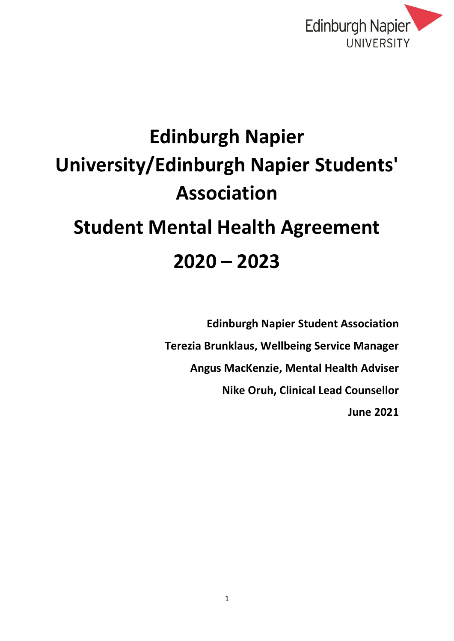

# **Edinburgh Napier University/Edinburgh Napier Students' Association Student Mental Health Agreement 2020 – 2023**

**Edinburgh Napier Student Association Terezia Brunklaus, Wellbeing Service Manager Angus MacKenzie, Mental Health Adviser Nike Oruh, Clinical Lead Counsellor June 2021**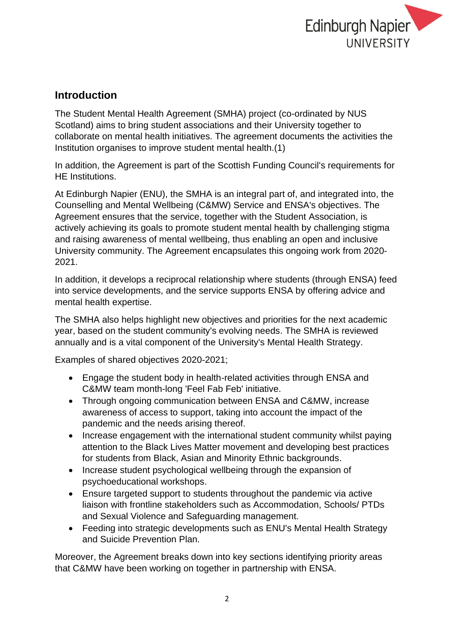

# **Introduction**

The Student Mental Health Agreement (SMHA) project (co-ordinated by NUS Scotland) aims to bring student associations and their University together to collaborate on mental health initiatives. The agreement documents the activities the Institution organises to improve student mental health.(1)

In addition, the Agreement is part of the Scottish Funding Council's requirements for HE Institutions.

At Edinburgh Napier (ENU), the SMHA is an integral part of, and integrated into, the Counselling and Mental Wellbeing (C&MW) Service and ENSA's objectives. The Agreement ensures that the service, together with the Student Association, is actively achieving its goals to promote student mental health by challenging stigma and raising awareness of mental wellbeing, thus enabling an open and inclusive University community. The Agreement encapsulates this ongoing work from 2020- 2021.

In addition, it develops a reciprocal relationship where students (through ENSA) feed into service developments, and the service supports ENSA by offering advice and mental health expertise.

The SMHA also helps highlight new objectives and priorities for the next academic year, based on the student community's evolving needs. The SMHA is reviewed annually and is a vital component of the University's Mental Health Strategy.

Examples of shared objectives 2020-2021;

- Engage the student body in health-related activities through ENSA and C&MW team month-long 'Feel Fab Feb' initiative.
- Through ongoing communication between ENSA and C&MW, increase awareness of access to support, taking into account the impact of the pandemic and the needs arising thereof.
- Increase engagement with the international student community whilst paying attention to the Black Lives Matter movement and developing best practices for students from Black, Asian and Minority Ethnic backgrounds.
- Increase student psychological wellbeing through the expansion of psychoeducational workshops.
- Ensure targeted support to students throughout the pandemic via active liaison with frontline stakeholders such as Accommodation, Schools/ PTDs and Sexual Violence and Safeguarding management.
- Feeding into strategic developments such as ENU's Mental Health Strategy and Suicide Prevention Plan.

Moreover, the Agreement breaks down into key sections identifying priority areas that C&MW have been working on together in partnership with ENSA.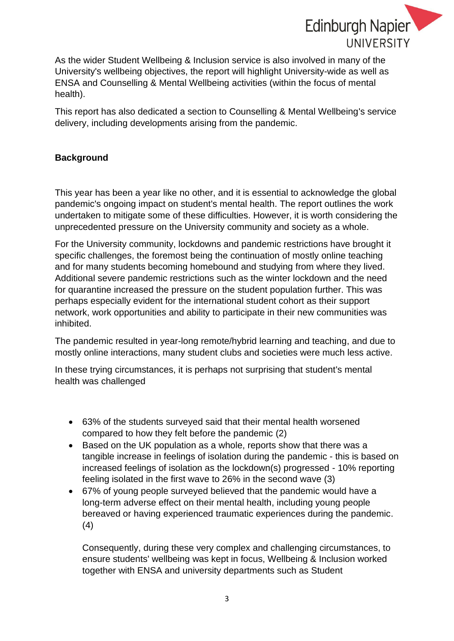

As the wider Student Wellbeing & Inclusion service is also involved in many of the University's wellbeing objectives, the report will highlight University-wide as well as ENSA and Counselling & Mental Wellbeing activities (within the focus of mental health).

This report has also dedicated a section to Counselling & Mental Wellbeing's service delivery, including developments arising from the pandemic.

## **Background**

This year has been a year like no other, and it is essential to acknowledge the global pandemic's ongoing impact on student's mental health. The report outlines the work undertaken to mitigate some of these difficulties. However, it is worth considering the unprecedented pressure on the University community and society as a whole.

For the University community, lockdowns and pandemic restrictions have brought it specific challenges, the foremost being the continuation of mostly online teaching and for many students becoming homebound and studying from where they lived. Additional severe pandemic restrictions such as the winter lockdown and the need for quarantine increased the pressure on the student population further. This was perhaps especially evident for the international student cohort as their support network, work opportunities and ability to participate in their new communities was inhibited.

The pandemic resulted in year-long remote/hybrid learning and teaching, and due to mostly online interactions, many student clubs and societies were much less active.

In these trying circumstances, it is perhaps not surprising that student's mental health was challenged

- 63% of the students surveyed said that their mental health worsened compared to how they felt before the pandemic (2)
- Based on the UK population as a whole, reports show that there was a tangible increase in feelings of isolation during the pandemic - this is based on increased feelings of isolation as the lockdown(s) progressed - 10% reporting feeling isolated in the first wave to 26% in the second wave (3)
- 67% of young people surveyed believed that the pandemic would have a long-term adverse effect on their mental health, including young people bereaved or having experienced traumatic experiences during the pandemic. (4)

Consequently, during these very complex and challenging circumstances, to ensure students' wellbeing was kept in focus, Wellbeing & Inclusion worked together with ENSA and university departments such as Student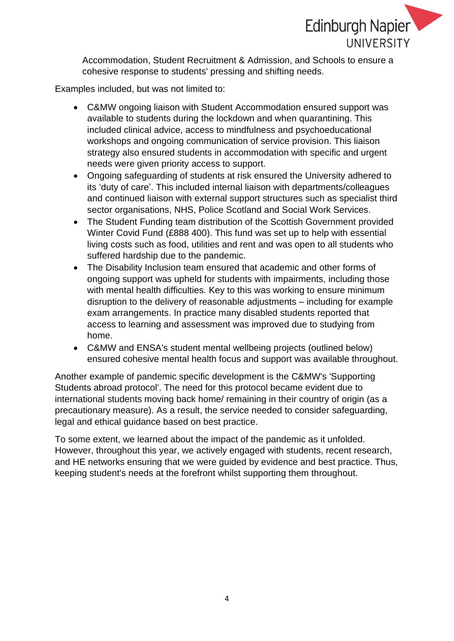

Accommodation, Student Recruitment & Admission, and Schools to ensure a cohesive response to students' pressing and shifting needs.

Examples included, but was not limited to:

- C&MW ongoing liaison with Student Accommodation ensured support was available to students during the lockdown and when quarantining. This included clinical advice, access to mindfulness and psychoeducational workshops and ongoing communication of service provision. This liaison strategy also ensured students in accommodation with specific and urgent needs were given priority access to support.
- Ongoing safeguarding of students at risk ensured the University adhered to its 'duty of care'. This included internal liaison with departments/colleagues and continued liaison with external support structures such as specialist third sector organisations, NHS, Police Scotland and Social Work Services.
- The Student Funding team distribution of the Scottish Government provided Winter Covid Fund (£888 400). This fund was set up to help with essential living costs such as food, utilities and rent and was open to all students who suffered hardship due to the pandemic.
- The Disability Inclusion team ensured that academic and other forms of ongoing support was upheld for students with impairments, including those with mental health difficulties. Key to this was working to ensure minimum disruption to the delivery of reasonable adjustments – including for example exam arrangements. In practice many disabled students reported that access to learning and assessment was improved due to studying from home.
- C&MW and ENSA's student mental wellbeing projects (outlined below) ensured cohesive mental health focus and support was available throughout.

Another example of pandemic specific development is the C&MW's 'Supporting Students abroad protocol'. The need for this protocol became evident due to international students moving back home/ remaining in their country of origin (as a precautionary measure). As a result, the service needed to consider safeguarding, legal and ethical guidance based on best practice.

To some extent, we learned about the impact of the pandemic as it unfolded. However, throughout this year, we actively engaged with students, recent research, and HE networks ensuring that we were guided by evidence and best practice. Thus, keeping student's needs at the forefront whilst supporting them throughout.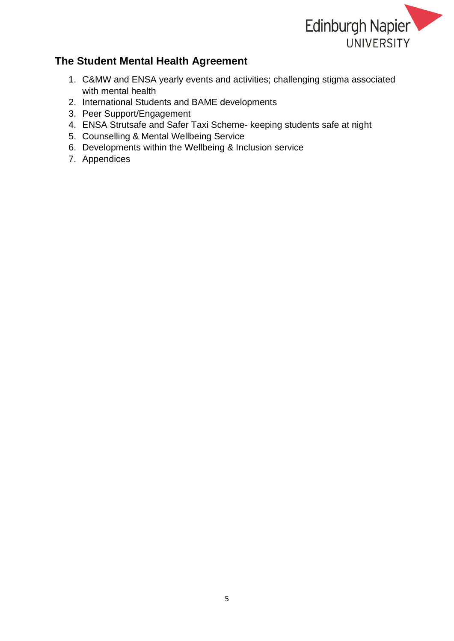

## **The Student Mental Health Agreement**

- 1. C&MW and ENSA yearly events and activities; challenging stigma associated with mental health
- 2. International Students and BAME developments
- 3. Peer Support/Engagement
- 4. ENSA Strutsafe and Safer Taxi Scheme- keeping students safe at night
- 5. Counselling & Mental Wellbeing Service
- 6. Developments within the Wellbeing & Inclusion service
- 7. Appendices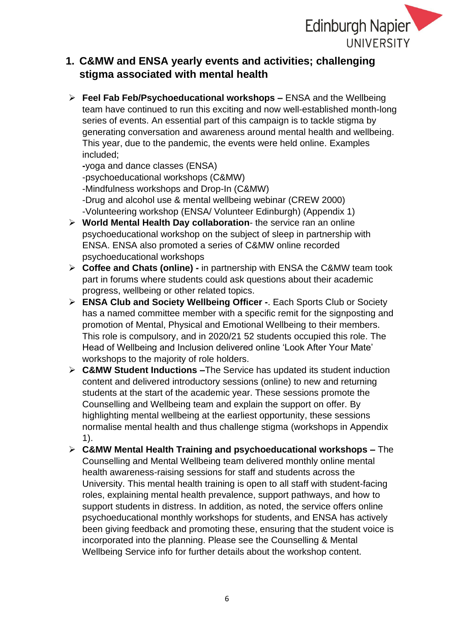

# **1. C&MW and ENSA yearly events and activities; challenging stigma associated with mental health**

➢ **Feel Fab Feb/Psychoeducational workshops –** ENSA and the Wellbeing team have continued to run this exciting and now well-established month-long series of events. An essential part of this campaign is to tackle stigma by generating conversation and awareness around mental health and wellbeing. This year, due to the pandemic, the events were held online. Examples included;

**-**yoga and dance classes (ENSA)

-psychoeducational workshops (C&MW)

-Mindfulness workshops and Drop-In (C&MW)

- -Drug and alcohol use & mental wellbeing webinar (CREW 2000)
- -Volunteering workshop (ENSA/ Volunteer Edinburgh) (Appendix 1)
- ➢ **World Mental Health Day collaboration** the service ran an online psychoeducational workshop on the subject of sleep in partnership with ENSA. ENSA also promoted a series of C&MW online recorded psychoeducational workshops
- ➢ **Coffee and Chats (online) -** in partnership with ENSA the C&MW team took part in forums where students could ask questions about their academic progress, wellbeing or other related topics.
- ➢ **ENSA Club and Society Wellbeing Officer -**. Each Sports Club or Society has a named committee member with a specific remit for the signposting and promotion of Mental, Physical and Emotional Wellbeing to their members. This role is compulsory, and in 2020/21 52 students occupied this role. The Head of Wellbeing and Inclusion delivered online 'Look After Your Mate' workshops to the majority of role holders.
- ➢ **C&MW Student Inductions –**The Service has updated its student induction content and delivered introductory sessions (online) to new and returning students at the start of the academic year. These sessions promote the Counselling and Wellbeing team and explain the support on offer. By highlighting mental wellbeing at the earliest opportunity, these sessions normalise mental health and thus challenge stigma (workshops in Appendix 1).
- ➢ **C&MW Mental Health Training and psychoeducational workshops –** The Counselling and Mental Wellbeing team delivered monthly online mental health awareness-raising sessions for staff and students across the University. This mental health training is open to all staff with student-facing roles, explaining mental health prevalence, support pathways, and how to support students in distress. In addition, as noted, the service offers online psychoeducational monthly workshops for students, and ENSA has actively been giving feedback and promoting these, ensuring that the student voice is incorporated into the planning. Please see the Counselling & Mental Wellbeing Service info for further details about the workshop content.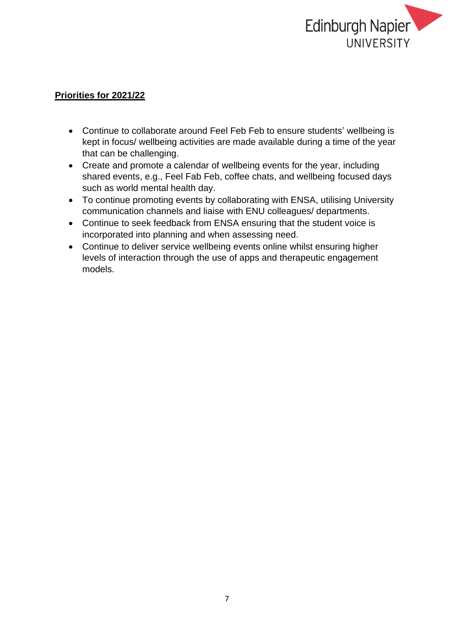

- Continue to collaborate around Feel Feb Feb to ensure students' wellbeing is kept in focus/ wellbeing activities are made available during a time of the year that can be challenging.
- Create and promote a calendar of wellbeing events for the year, including shared events, e.g., Feel Fab Feb, coffee chats, and wellbeing focused days such as world mental health day.
- To continue promoting events by collaborating with ENSA, utilising University communication channels and liaise with ENU colleagues/ departments.
- Continue to seek feedback from ENSA ensuring that the student voice is incorporated into planning and when assessing need.
- Continue to deliver service wellbeing events online whilst ensuring higher levels of interaction through the use of apps and therapeutic engagement models.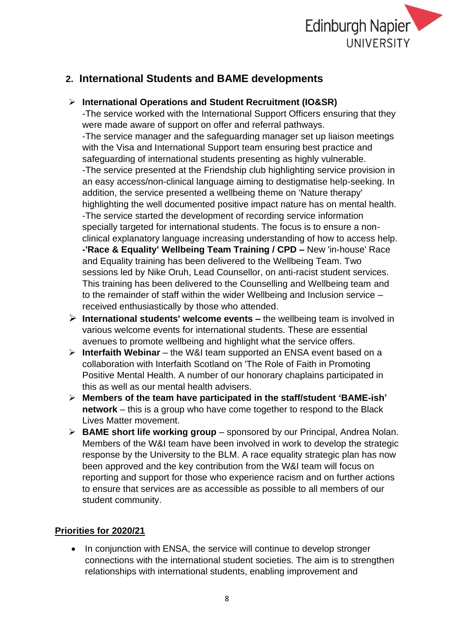

# **2. International Students and BAME developments**

## ➢ **International Operations and Student Recruitment (IO&SR)**

-The service worked with the International Support Officers ensuring that they were made aware of support on offer and referral pathways.

-The service manager and the safeguarding manager set up liaison meetings with the Visa and International Support team ensuring best practice and safeguarding of international students presenting as highly vulnerable. -The service presented at the Friendship club highlighting service provision in an easy access/non-clinical language aiming to destigmatise help-seeking. In addition, the service presented a wellbeing theme on 'Nature therapy' highlighting the well documented positive impact nature has on mental health. -The service started the development of recording service information specially targeted for international students. The focus is to ensure a nonclinical explanatory language increasing understanding of how to access help. **-'Race & Equality' Wellbeing Team Training / CPD –** New 'in-house' Race and Equality training has been delivered to the Wellbeing Team. Two sessions led by Nike Oruh, Lead Counsellor, on anti-racist student services. This training has been delivered to the Counselling and Wellbeing team and to the remainder of staff within the wider Wellbeing and Inclusion service – received enthusiastically by those who attended.

- ➢ **International students' welcome events –** the wellbeing team is involved in various welcome events for international students. These are essential avenues to promote wellbeing and highlight what the service offers.
- ➢ **Interfaith Webinar** the W&I team supported an ENSA event based on a collaboration with Interfaith Scotland on 'The Role of Faith in Promoting Positive Mental Health. A number of our honorary chaplains participated in this as well as our mental health advisers.
- ➢ **Members of the team have participated in the staff/student 'BAME-ish' network** – this is a group who have come together to respond to the Black Lives Matter movement.
- ➢ **BAME short life working group**  sponsored by our Principal, Andrea Nolan. Members of the W&I team have been involved in work to develop the strategic response by the University to the BLM. A race equality strategic plan has now been approved and the key contribution from the W&I team will focus on reporting and support for those who experience racism and on further actions to ensure that services are as accessible as possible to all members of our student community.

## **Priorities for 2020/21**

• In conjunction with ENSA, the service will continue to develop stronger connections with the international student societies. The aim is to strengthen relationships with international students, enabling improvement and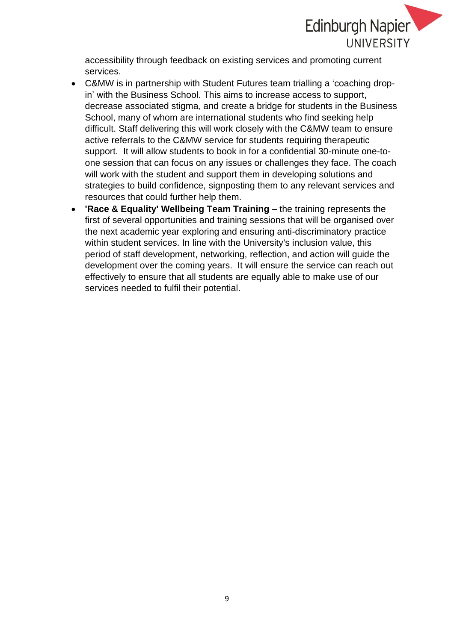

accessibility through feedback on existing services and promoting current services.

- C&MW is in partnership with Student Futures team trialling a 'coaching dropin' with the Business School. This aims to increase access to support, decrease associated stigma, and create a bridge for students in the Business School, many of whom are international students who find seeking help difficult. Staff delivering this will work closely with the C&MW team to ensure active referrals to the C&MW service for students requiring therapeutic support. It will allow students to book in for a confidential 30-minute one-toone session that can focus on any issues or challenges they face. The coach will work with the student and support them in developing solutions and strategies to build confidence, signposting them to any relevant services and resources that could further help them.
- **'Race & Equality' Wellbeing Team Training –** the training represents the first of several opportunities and training sessions that will be organised over the next academic year exploring and ensuring anti-discriminatory practice within student services. In line with the University's inclusion value, this period of staff development, networking, reflection, and action will guide the development over the coming years. It will ensure the service can reach out effectively to ensure that all students are equally able to make use of our services needed to fulfil their potential.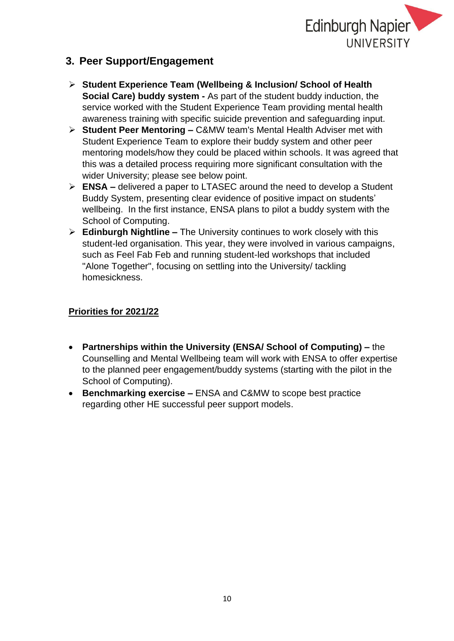

# **3. Peer Support/Engagement**

- ➢ **Student Experience Team (Wellbeing & Inclusion/ School of Health Social Care) buddy system -** As part of the student buddy induction, the service worked with the Student Experience Team providing mental health awareness training with specific suicide prevention and safeguarding input.
- ➢ **Student Peer Mentoring –** C&MW team's Mental Health Adviser met with Student Experience Team to explore their buddy system and other peer mentoring models/how they could be placed within schools. It was agreed that this was a detailed process requiring more significant consultation with the wider University; please see below point.
- ➢ **ENSA –** delivered a paper to LTASEC around the need to develop a Student Buddy System, presenting clear evidence of positive impact on students' wellbeing. In the first instance, ENSA plans to pilot a buddy system with the School of Computing.
- ➢ **Edinburgh Nightline –** The University continues to work closely with this student-led organisation. This year, they were involved in various campaigns, such as Feel Fab Feb and running student-led workshops that included "Alone Together", focusing on settling into the University/ tackling homesickness.

- **Partnerships within the University (ENSA/ School of Computing) –** the Counselling and Mental Wellbeing team will work with ENSA to offer expertise to the planned peer engagement/buddy systems (starting with the pilot in the School of Computing).
- **Benchmarking exercise –** ENSA and C&MW to scope best practice regarding other HE successful peer support models.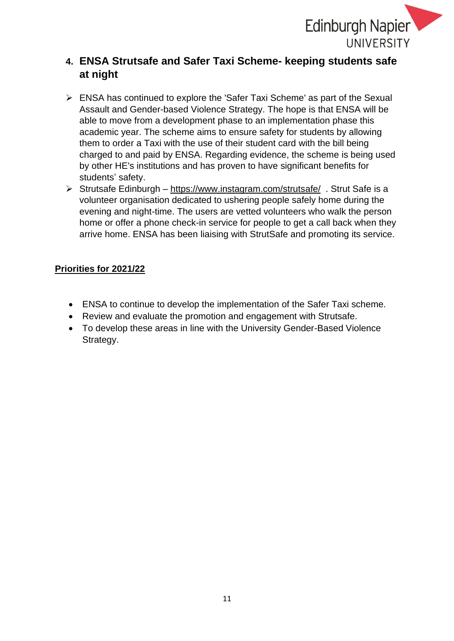

# **4. ENSA Strutsafe and Safer Taxi Scheme- keeping students safe at night**

- ➢ ENSA has continued to explore the 'Safer Taxi Scheme' as part of the Sexual Assault and Gender-based Violence Strategy. The hope is that ENSA will be able to move from a development phase to an implementation phase this academic year. The scheme aims to ensure safety for students by allowing them to order a Taxi with the use of their student card with the bill being charged to and paid by ENSA. Regarding evidence, the scheme is being used by other HE's institutions and has proven to have significant benefits for students' safety.
- ➢ Strutsafe Edinburgh <https://www.instagram.com/strutsafe/>. Strut Safe is a volunteer organisation dedicated to ushering people safely home during the evening and night-time. The users are vetted volunteers who walk the person home or offer a phone check-in service for people to get a call back when they arrive home. ENSA has been liaising with StrutSafe and promoting its service.

- ENSA to continue to develop the implementation of the Safer Taxi scheme.
- Review and evaluate the promotion and engagement with Strutsafe.
- To develop these areas in line with the University Gender-Based Violence Strategy.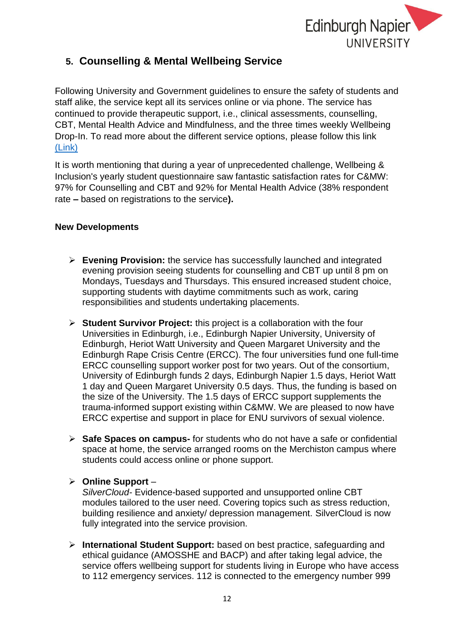

# **5. Counselling & Mental Wellbeing Service**

Following University and Government guidelines to ensure the safety of students and staff alike, the service kept all its services online or via phone. The service has continued to provide therapeutic support, i.e., clinical assessments, counselling, CBT, Mental Health Advice and Mindfulness, and the three times weekly Wellbeing Drop-In. To read more about the different service options, please follow this link [\(Link\)](https://my.napier.ac.uk/wellbeing-support-and-inclusion/counselling-and-mental-wellbeing)

It is worth mentioning that during a year of unprecedented challenge, Wellbeing & Inclusion's yearly student questionnaire saw fantastic satisfaction rates for C&MW: 97% for Counselling and CBT and 92% for Mental Health Advice (38% respondent rate **–** based on registrations to the service**).** 

#### **New Developments**

- ➢ **Evening Provision:** the service has successfully launched and integrated evening provision seeing students for counselling and CBT up until 8 pm on Mondays, Tuesdays and Thursdays. This ensured increased student choice, supporting students with daytime commitments such as work, caring responsibilities and students undertaking placements.
- ➢ **Student Survivor Project:** this project is a collaboration with the four Universities in Edinburgh, i.e., Edinburgh Napier University, University of Edinburgh, Heriot Watt University and Queen Margaret University and the Edinburgh Rape Crisis Centre (ERCC). The four universities fund one full-time ERCC counselling support worker post for two years. Out of the consortium, University of Edinburgh funds 2 days, Edinburgh Napier 1.5 days, Heriot Watt 1 day and Queen Margaret University 0.5 days. Thus, the funding is based on the size of the University. The 1.5 days of ERCC support supplements the trauma-informed support existing within C&MW. We are pleased to now have ERCC expertise and support in place for ENU survivors of sexual violence.
- ➢ **Safe Spaces on campus-** for students who do not have a safe or confidential space at home, the service arranged rooms on the Merchiston campus where students could access online or phone support.

#### ➢ **Online Support** –

*SilverCloud-* Evidence-based supported and unsupported online CBT modules tailored to the user need. Covering topics such as stress reduction, building resilience and anxiety/ depression management. SilverCloud is now fully integrated into the service provision.

➢ **International Student Support:** based on best practice, safeguarding and ethical guidance (AMOSSHE and BACP) and after taking legal advice, the service offers wellbeing support for students living in Europe who have access to 112 emergency services. 112 is connected to the emergency number 999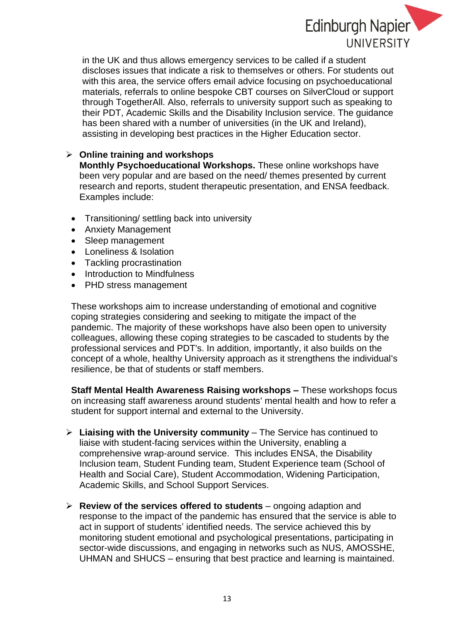

in the UK and thus allows emergency services to be called if a student discloses issues that indicate a risk to themselves or others. For students out with this area, the service offers email advice focusing on psychoeducational materials, referrals to online bespoke CBT courses on SilverCloud or support through TogetherAll. Also, referrals to university support such as speaking to their PDT, Academic Skills and the Disability Inclusion service. The guidance has been shared with a number of universities (in the UK and Ireland), assisting in developing best practices in the Higher Education sector.

#### ➢ **Online training and workshops**

**Monthly Psychoeducational Workshops.** These online workshops have been very popular and are based on the need/ themes presented by current research and reports, student therapeutic presentation, and ENSA feedback. Examples include:

- Transitioning/ settling back into university
- Anxiety Management
- Sleep management
- Loneliness & Isolation
- Tackling procrastination
- Introduction to Mindfulness
- PHD stress management

These workshops aim to increase understanding of emotional and cognitive coping strategies considering and seeking to mitigate the impact of the pandemic. The majority of these workshops have also been open to university colleagues, allowing these coping strategies to be cascaded to students by the professional services and PDT's. In addition, importantly, it also builds on the concept of a whole, healthy University approach as it strengthens the individual's resilience, be that of students or staff members.

**Staff Mental Health Awareness Raising workshops –** These workshops focus on increasing staff awareness around students' mental health and how to refer a student for support internal and external to the University.

- ➢ **Liaising with the University community** The Service has continued to liaise with student-facing services within the University, enabling a comprehensive wrap-around service. This includes ENSA, the Disability Inclusion team, Student Funding team, Student Experience team (School of Health and Social Care), Student Accommodation, Widening Participation, Academic Skills, and School Support Services.
- ➢ **Review of the services offered to students** ongoing adaption and response to the impact of the pandemic has ensured that the service is able to act in support of students' identified needs. The service achieved this by monitoring student emotional and psychological presentations, participating in sector-wide discussions, and engaging in networks such as NUS, AMOSSHE, UHMAN and SHUCS – ensuring that best practice and learning is maintained.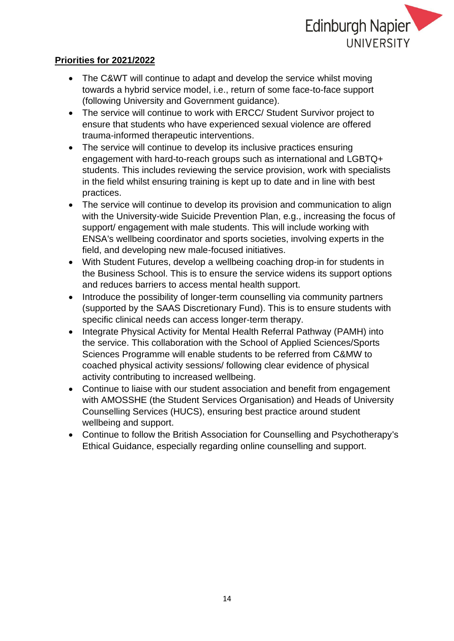

- The C&WT will continue to adapt and develop the service whilst moving towards a hybrid service model, i.e., return of some face-to-face support (following University and Government guidance).
- The service will continue to work with ERCC/ Student Survivor project to ensure that students who have experienced sexual violence are offered trauma-informed therapeutic interventions.
- The service will continue to develop its inclusive practices ensuring engagement with hard-to-reach groups such as international and LGBTQ+ students. This includes reviewing the service provision, work with specialists in the field whilst ensuring training is kept up to date and in line with best practices.
- The service will continue to develop its provision and communication to align with the University-wide Suicide Prevention Plan, e.g., increasing the focus of support/ engagement with male students. This will include working with ENSA's wellbeing coordinator and sports societies, involving experts in the field, and developing new male-focused initiatives.
- With Student Futures, develop a wellbeing coaching drop-in for students in the Business School. This is to ensure the service widens its support options and reduces barriers to access mental health support.
- Introduce the possibility of longer-term counselling via community partners (supported by the SAAS Discretionary Fund). This is to ensure students with specific clinical needs can access longer-term therapy.
- Integrate Physical Activity for Mental Health Referral Pathway (PAMH) into the service. This collaboration with the School of Applied Sciences/Sports Sciences Programme will enable students to be referred from C&MW to coached physical activity sessions/ following clear evidence of physical activity contributing to increased wellbeing.
- Continue to liaise with our student association and benefit from engagement with AMOSSHE (the Student Services Organisation) and Heads of University Counselling Services (HUCS), ensuring best practice around student wellbeing and support.
- Continue to follow the British Association for Counselling and Psychotherapy's Ethical Guidance, especially regarding online counselling and support.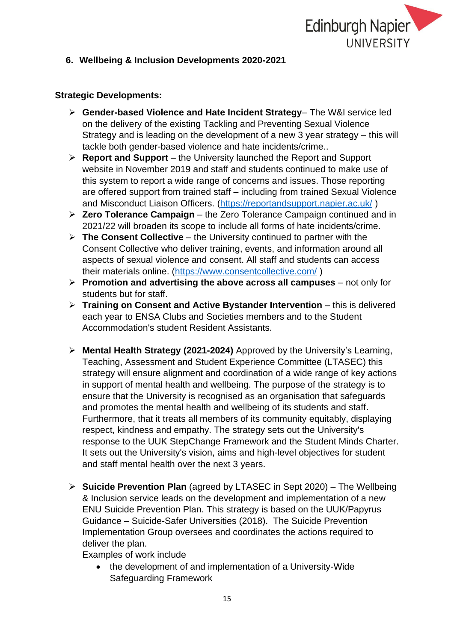

#### **6. Wellbeing & Inclusion Developments 2020-2021**

#### **Strategic Developments:**

- ➢ **Gender-based Violence and Hate Incident Strategy** The W&I service led on the delivery of the existing Tackling and Preventing Sexual Violence Strategy and is leading on the development of a new 3 year strategy – this will tackle both gender-based violence and hate incidents/crime..
- ➢ **Report and Support** the University launched the Report and Support website in November 2019 and staff and students continued to make use of this system to report a wide range of concerns and issues. Those reporting are offered support from trained staff – including from trained Sexual Violence and Misconduct Liaison Officers. [\(https://reportandsupport.napier.ac.uk/](https://reportandsupport.napier.ac.uk/))
- ➢ **Zero Tolerance Campaign** the Zero Tolerance Campaign continued and in 2021/22 will broaden its scope to include all forms of hate incidents/crime.
- ➢ **The Consent Collective** the University continued to partner with the Consent Collective who deliver training, events, and information around all aspects of sexual violence and consent. All staff and students can access their materials online. [\(https://www.consentcollective.com/](https://www.consentcollective.com/) )
- ➢ **Promotion and advertising the above across all campuses** not only for students but for staff.
- ➢ **Training on Consent and Active Bystander Intervention** this is delivered each year to ENSA Clubs and Societies members and to the Student Accommodation's student Resident Assistants.
- ➢ **Mental Health Strategy (2021-2024)** Approved by the University's Learning, Teaching, Assessment and Student Experience Committee (LTASEC) this strategy will ensure alignment and coordination of a wide range of key actions in support of mental health and wellbeing. The purpose of the strategy is to ensure that the University is recognised as an organisation that safeguards and promotes the mental health and wellbeing of its students and staff. Furthermore, that it treats all members of its community equitably, displaying respect, kindness and empathy. The strategy sets out the University's response to the UUK StepChange Framework and the Student Minds Charter. It sets out the University's vision, aims and high-level objectives for student and staff mental health over the next 3 years.
- ➢ **Suicide Prevention Plan** (agreed by LTASEC in Sept 2020) The Wellbeing & Inclusion service leads on the development and implementation of a new ENU Suicide Prevention Plan. This strategy is based on the UUK/Papyrus Guidance – Suicide-Safer Universities (2018). The Suicide Prevention Implementation Group oversees and coordinates the actions required to deliver the plan.

Examples of work include

• the development of and implementation of a University-Wide Safeguarding Framework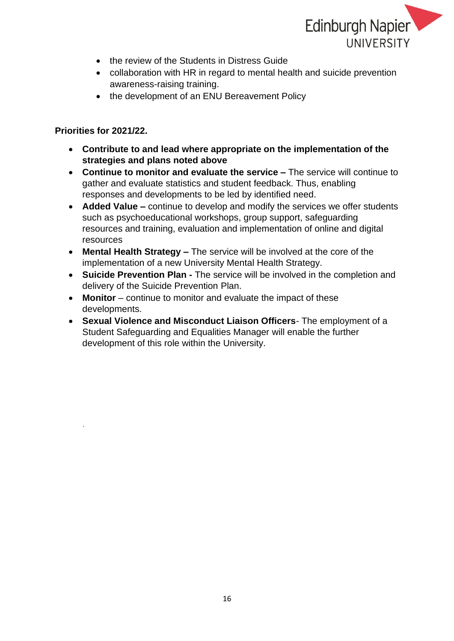

- the review of the Students in Distress Guide
- collaboration with HR in regard to mental health and suicide prevention awareness-raising training.
- the development of an ENU Bereavement Policy

#### **Priorities for 2021/22.**

.

- **Contribute to and lead where appropriate on the implementation of the strategies and plans noted above**
- **Continue to monitor and evaluate the service –** The service will continue to gather and evaluate statistics and student feedback. Thus, enabling responses and developments to be led by identified need.
- **Added Value –** continue to develop and modify the services we offer students such as psychoeducational workshops, group support, safeguarding resources and training, evaluation and implementation of online and digital resources
- **Mental Health Strategy –** The service will be involved at the core of the implementation of a new University Mental Health Strategy.
- **Suicide Prevention Plan -** The service will be involved in the completion and delivery of the Suicide Prevention Plan.
- **Monitor** continue to monitor and evaluate the impact of these developments.
- **Sexual Violence and Misconduct Liaison Officers** The employment of a Student Safeguarding and Equalities Manager will enable the further development of this role within the University.